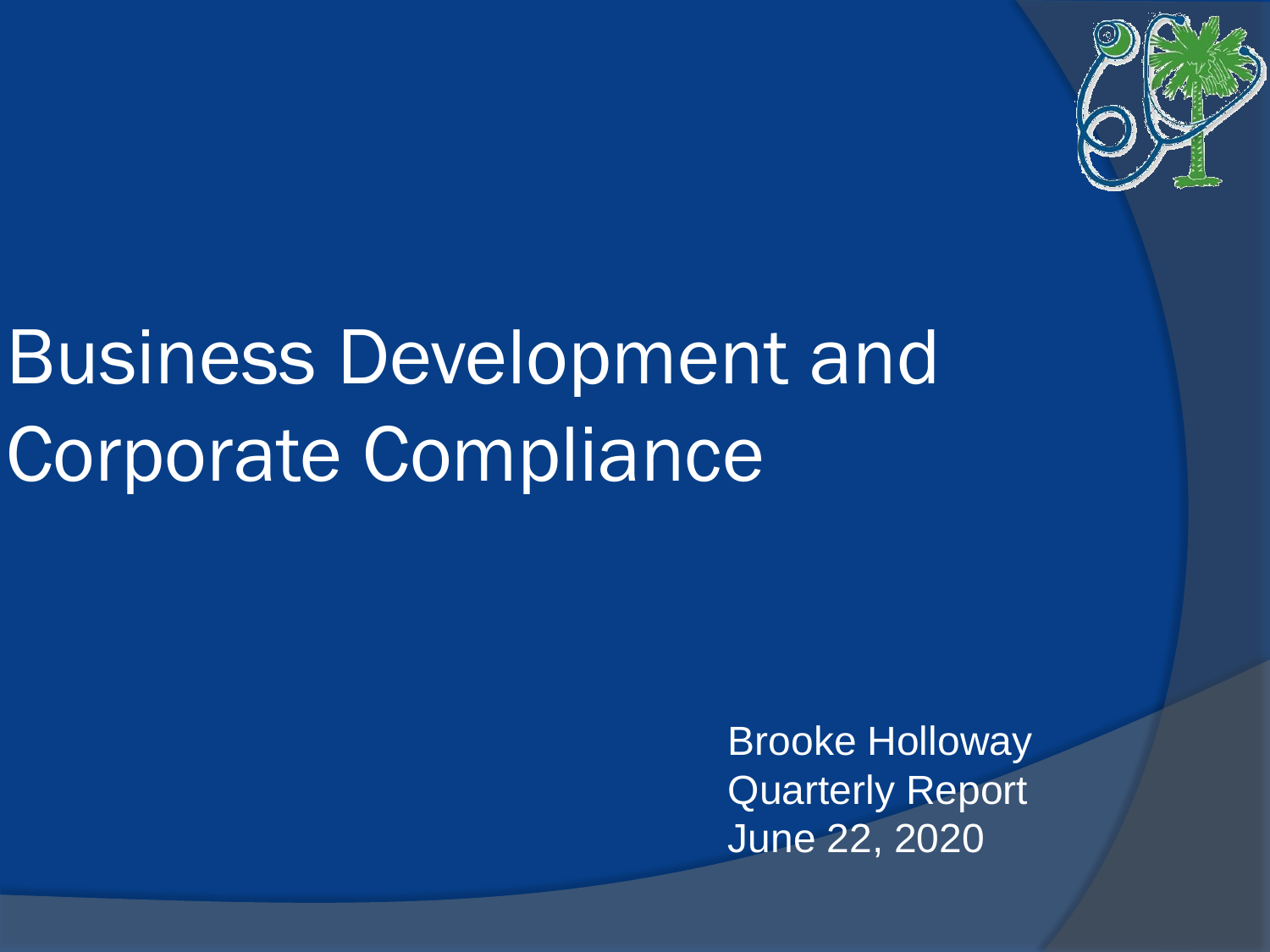

# Business Development and Corporate Compliance

Brooke Holloway Quarterly Report June 22, 2020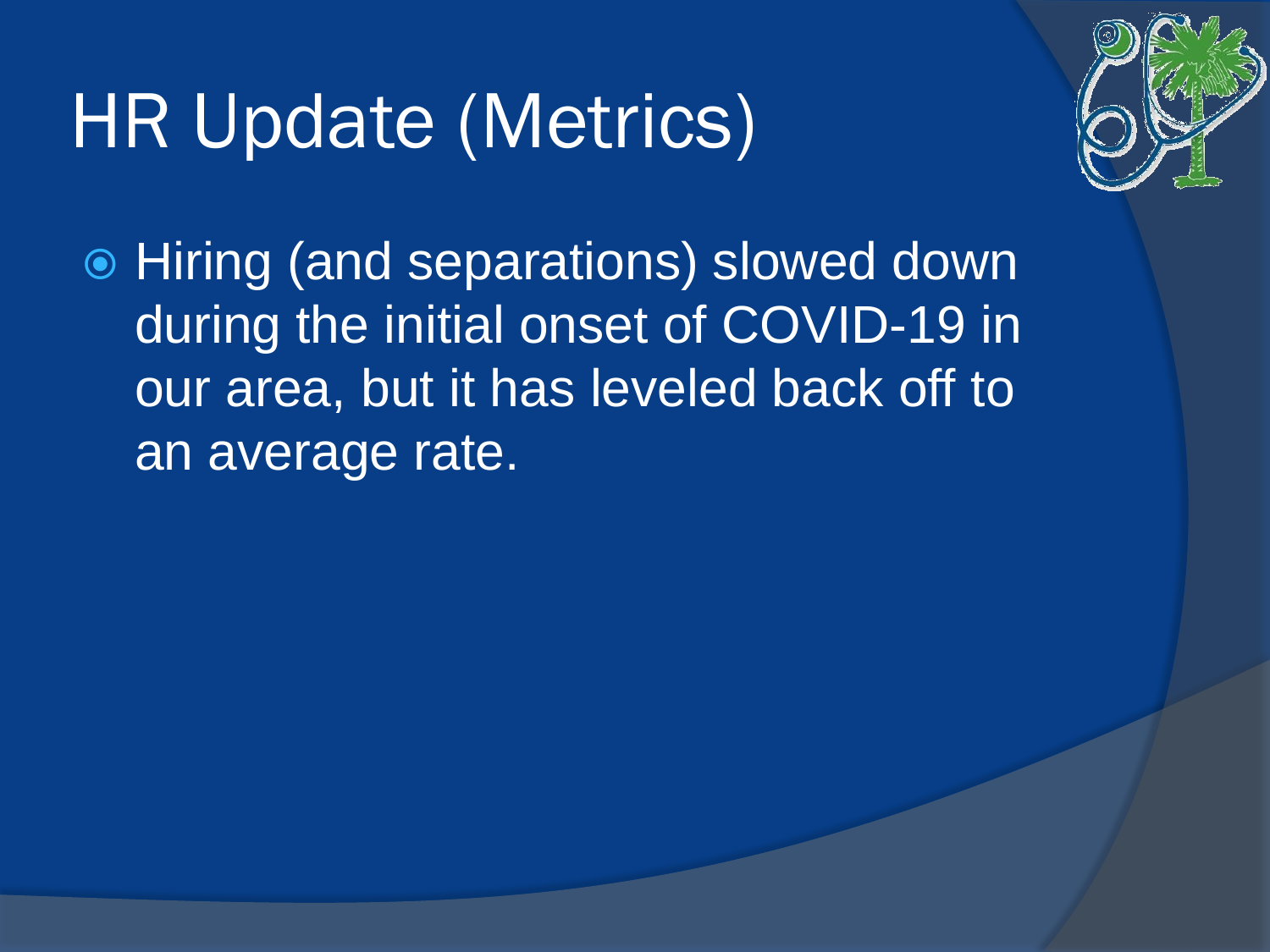# HR Update (Metrics)



 Hiring (and separations) slowed down during the initial onset of COVID-19 in our area, but it has leveled back off to an average rate.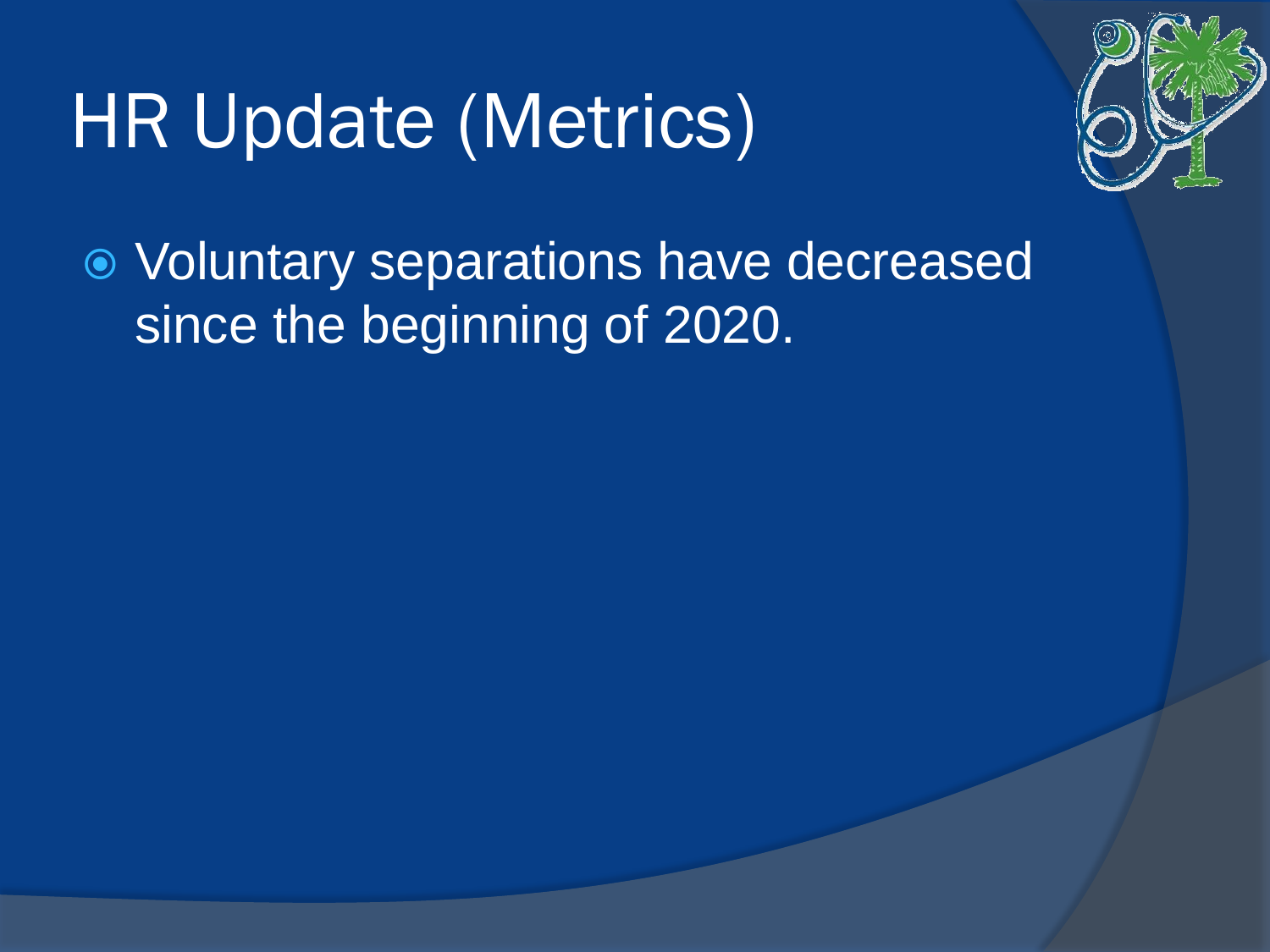# HR Update (Metrics)



 Voluntary separations have decreased since the beginning of 2020.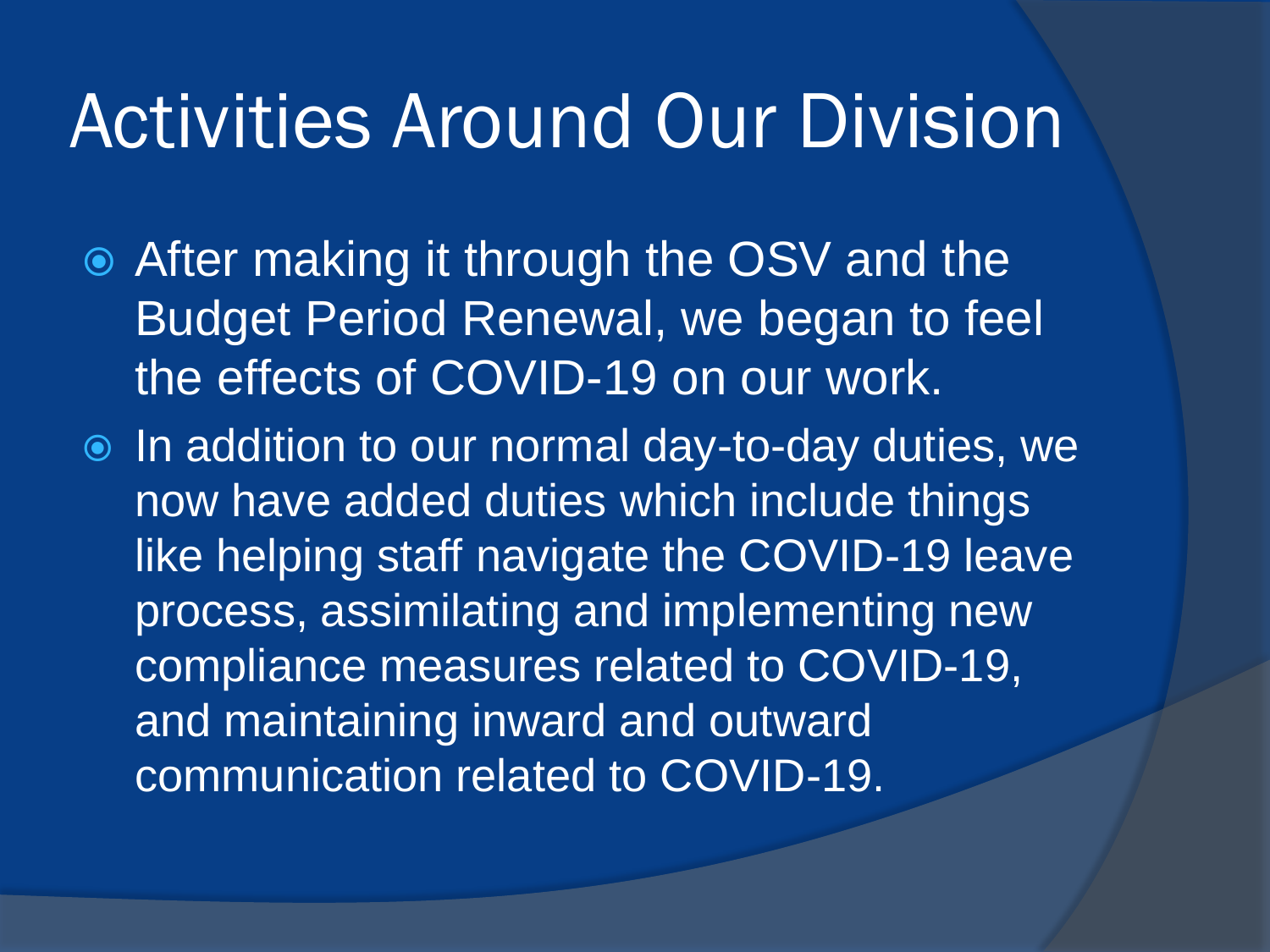#### Activities Around Our Division

- After making it through the OSV and the Budget Period Renewal, we began to feel the effects of COVID-19 on our work.
- $\bullet$  In addition to our normal day-to-day duties, we now have added duties which include things like helping staff navigate the COVID-19 leave process, assimilating and implementing new compliance measures related to COVID-19, and maintaining inward and outward communication related to COVID-19.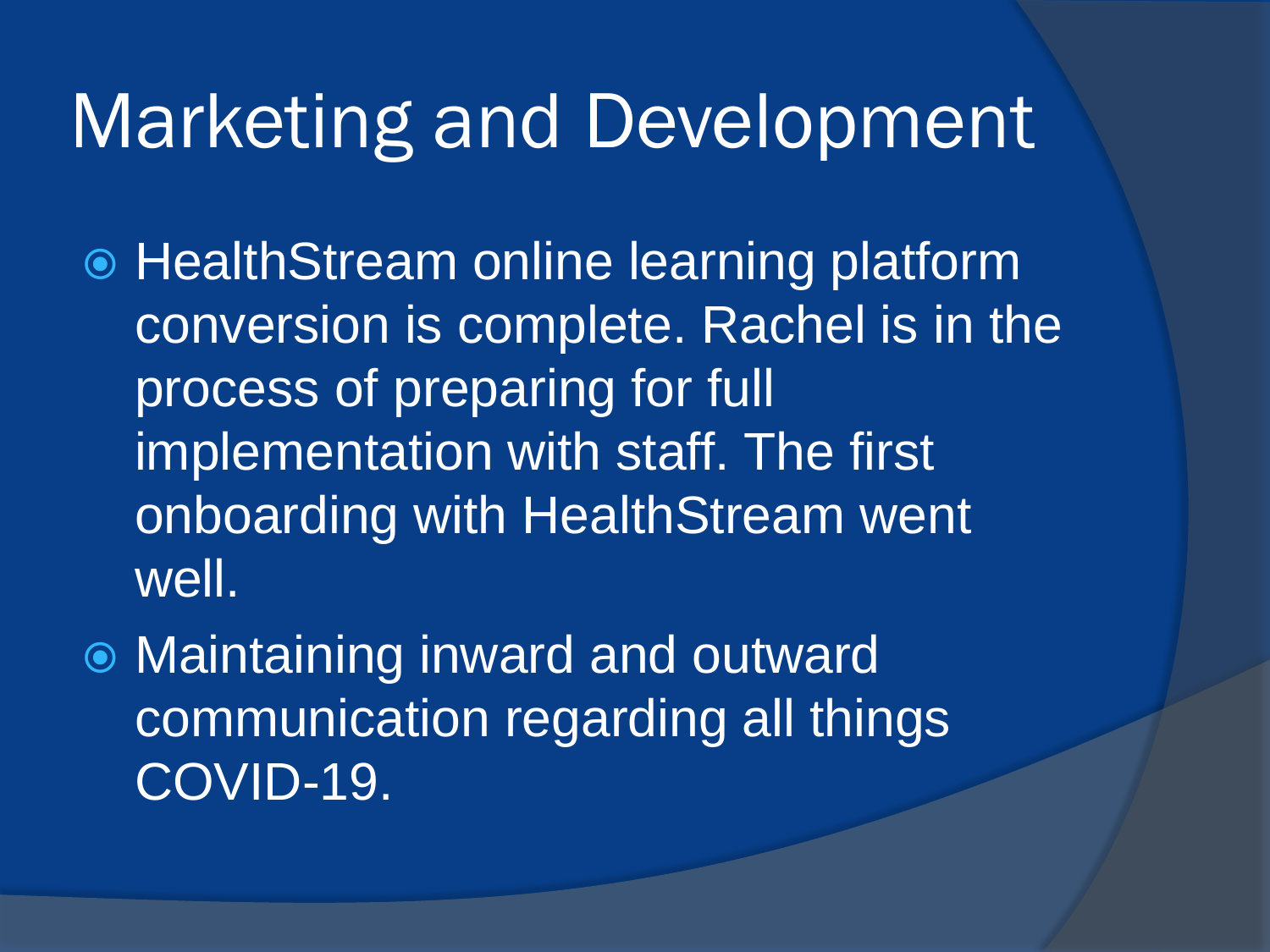#### Marketing and Development

- HealthStream online learning platform conversion is complete. Rachel is in the process of preparing for full implementation with staff. The first onboarding with HealthStream went well.
- Maintaining inward and outward communication regarding all things COVID-19.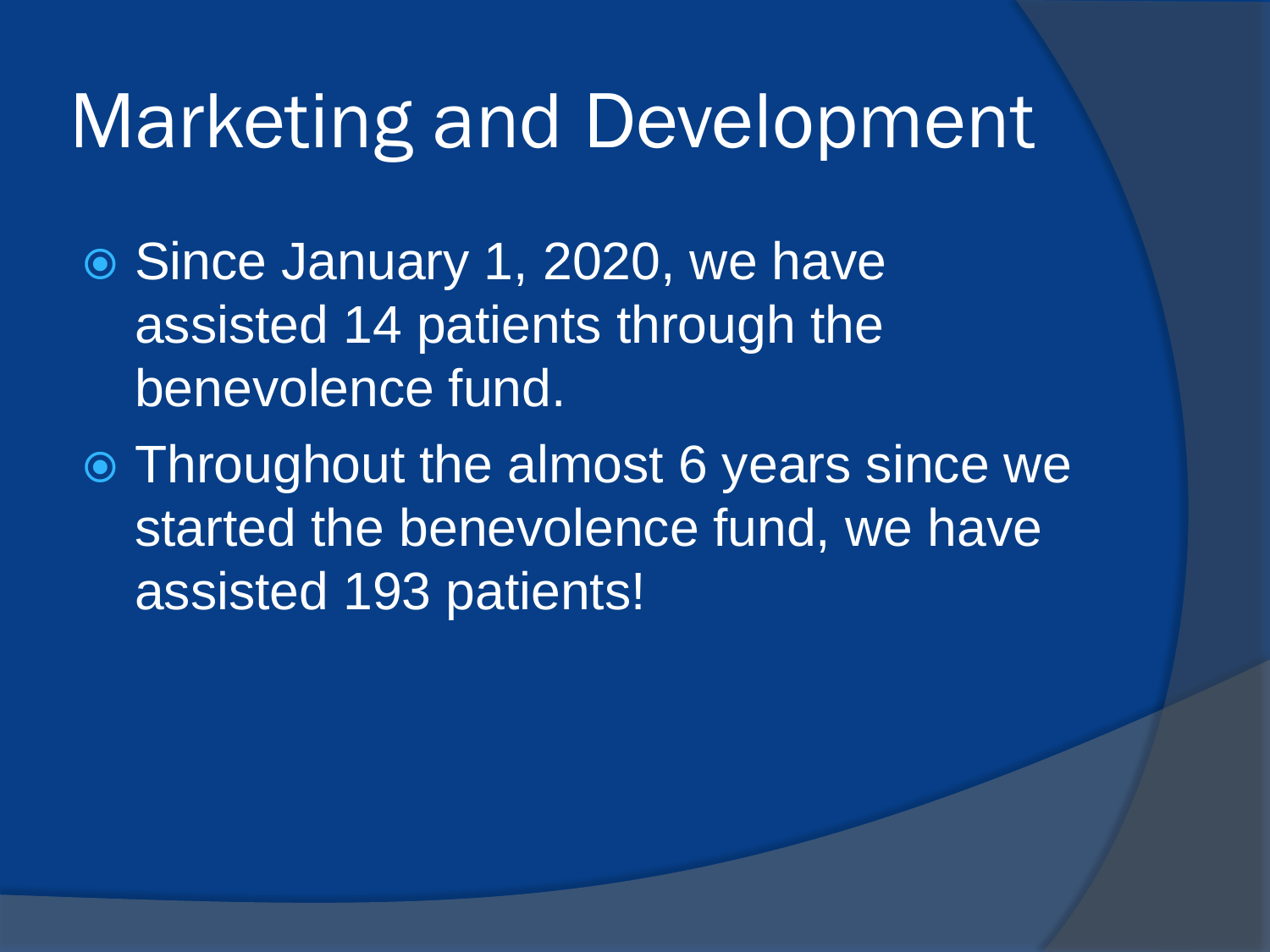#### Marketing and Development

- Since January 1, 2020, we have assisted 14 patients through the benevolence fund.
- Throughout the almost 6 years since we started the benevolence fund, we have assisted 193 patients!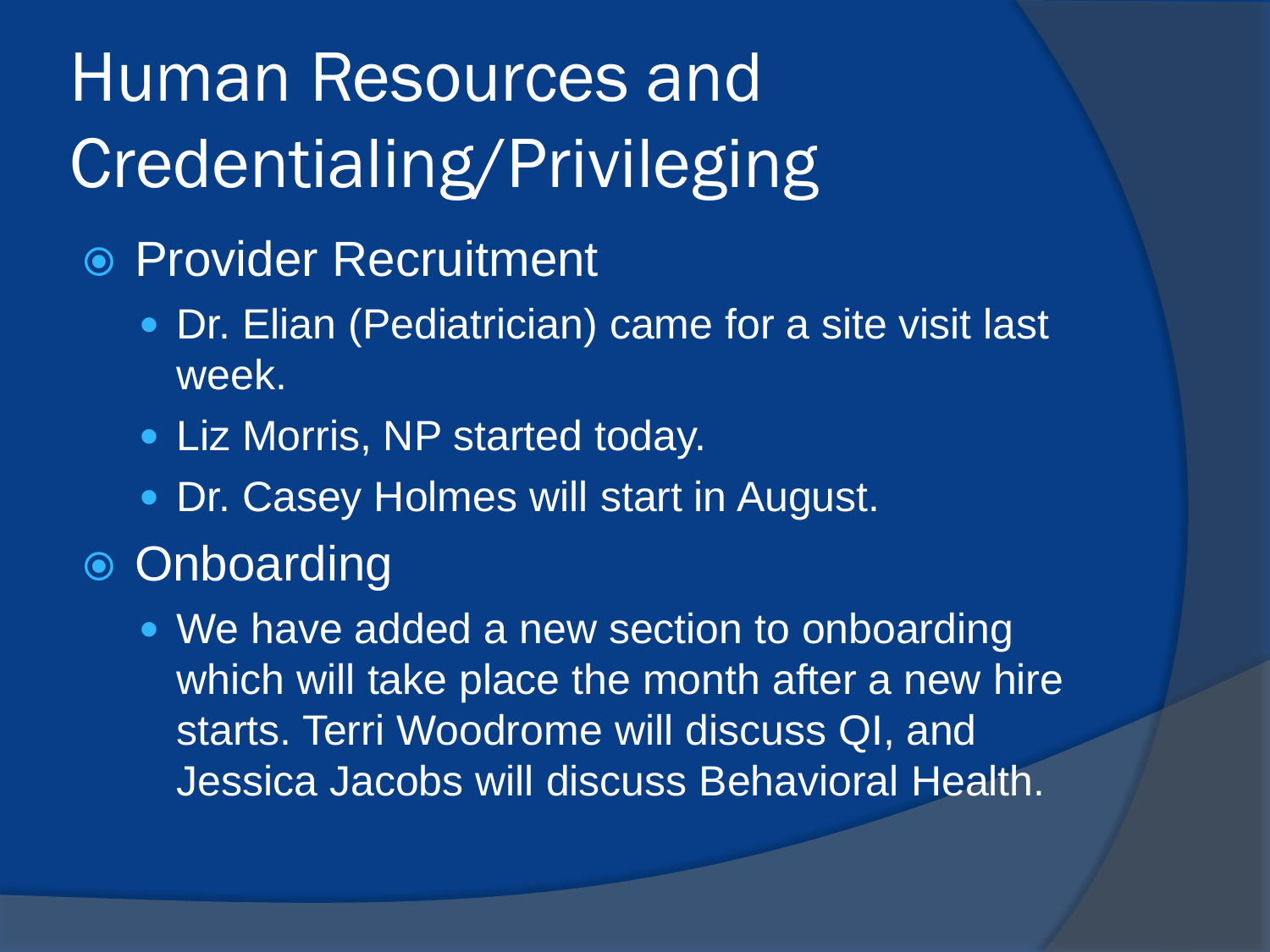### Human Resources and Credentialing/Privileging

- Provider Recruitment
	- Dr. Elian (Pediatrician) came for a site visit last week.
	- Liz Morris, NP started today.
	- **Dr. Casey Holmes will start in August.**
- **■** Onboarding
	- We have added a new section to onboarding which will take place the month after a new hire starts. Terri Woodrome will discuss QI, and Jessica Jacobs will discuss Behavioral Health.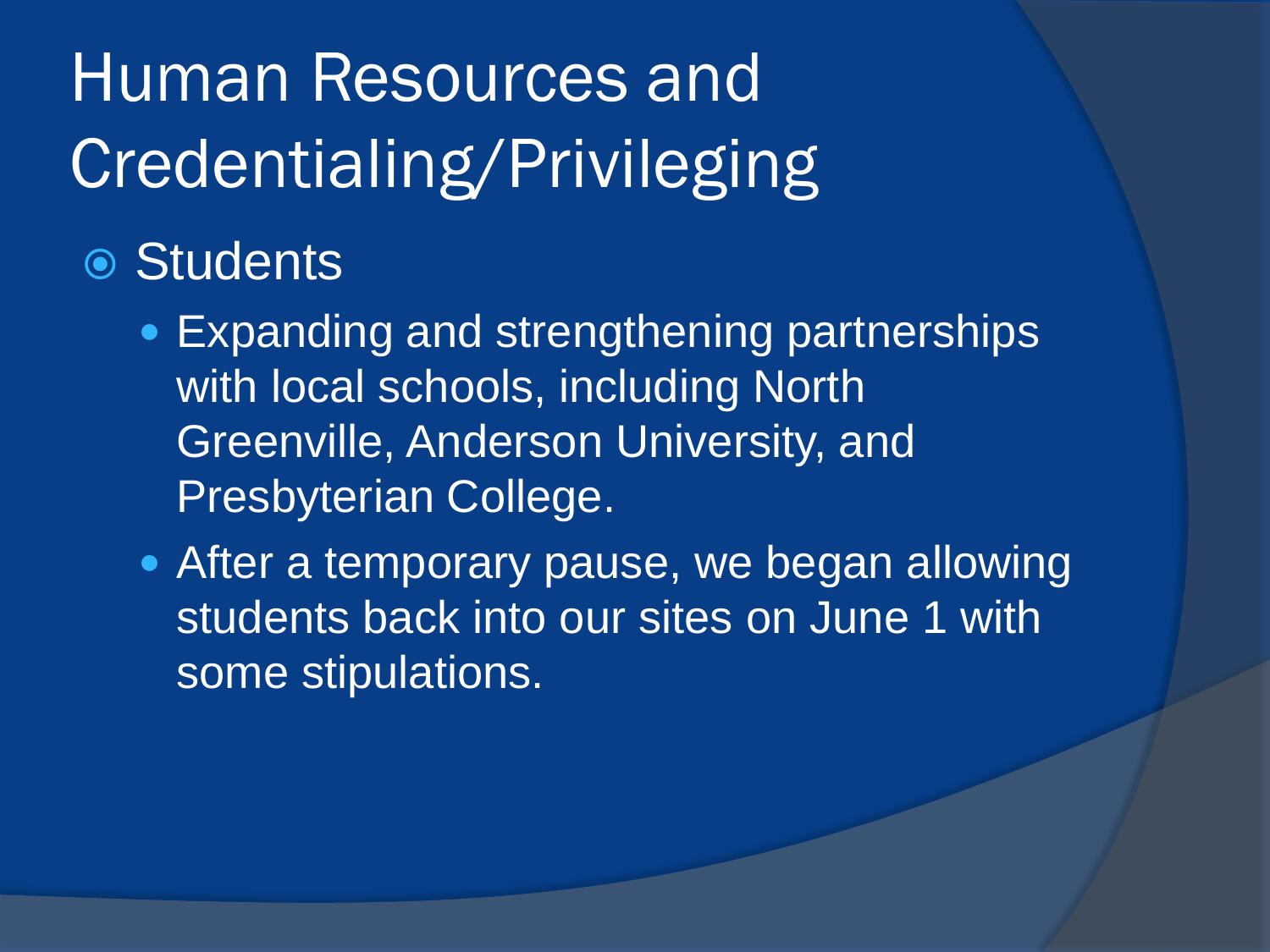## Human Resources and Credentialing/Privileging

**◎ Students** 

- Expanding and strengthening partnerships with local schools, including North Greenville, Anderson University, and Presbyterian College.
- After a temporary pause, we began allowing students back into our sites on June 1 with some stipulations.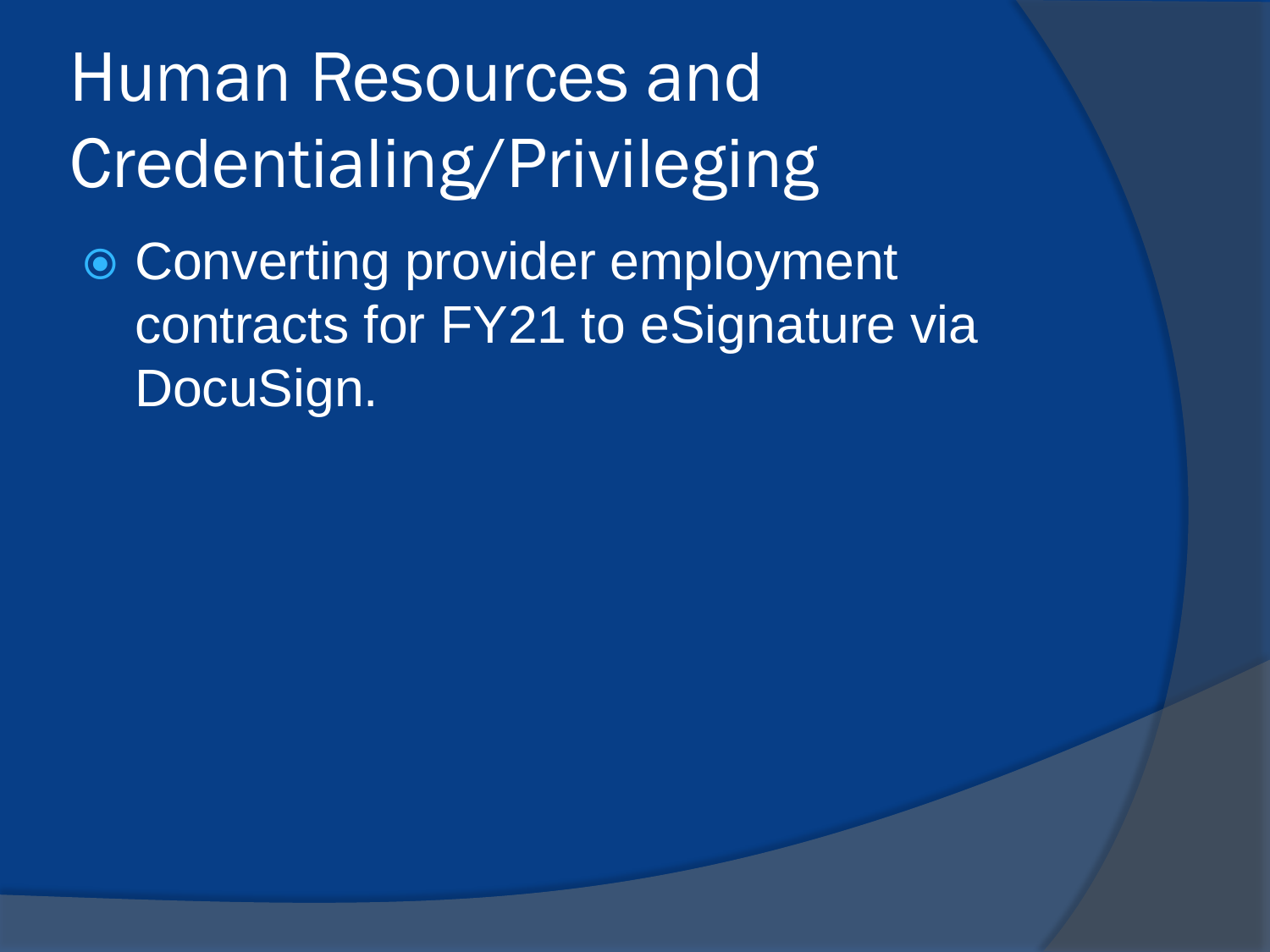### Human Resources and Credentialing/Privileging

● Converting provider employment contracts for FY21 to eSignature via DocuSign.